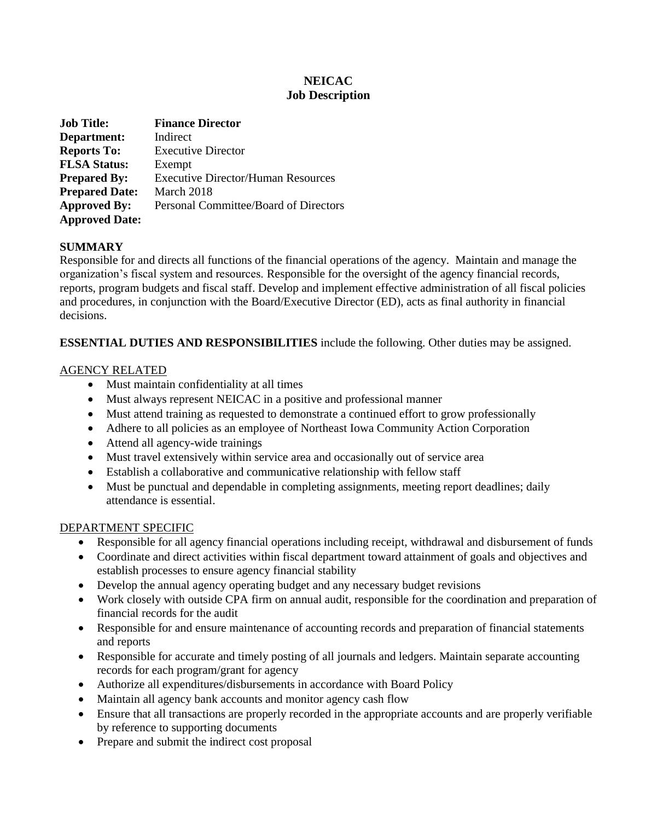# **NEICAC Job Description**

| <b>Job Title:</b>     | <b>Finance Director</b>                   |
|-----------------------|-------------------------------------------|
| Department:           | Indirect                                  |
| <b>Reports To:</b>    | <b>Executive Director</b>                 |
| <b>FLSA Status:</b>   | Exempt                                    |
| <b>Prepared By:</b>   | <b>Executive Director/Human Resources</b> |
| <b>Prepared Date:</b> | March 2018                                |
| <b>Approved By:</b>   | Personal Committee/Board of Directors     |
| <b>Approved Date:</b> |                                           |

## **SUMMARY**

Responsible for and directs all functions of the financial operations of the agency. Maintain and manage the organization's fiscal system and resources. Responsible for the oversight of the agency financial records, reports, program budgets and fiscal staff. Develop and implement effective administration of all fiscal policies and procedures, in conjunction with the Board/Executive Director (ED), acts as final authority in financial decisions.

## **ESSENTIAL DUTIES AND RESPONSIBILITIES** include the following. Other duties may be assigned.

## AGENCY RELATED

- Must maintain confidentiality at all times
- Must always represent NEICAC in a positive and professional manner
- Must attend training as requested to demonstrate a continued effort to grow professionally
- Adhere to all policies as an employee of Northeast Iowa Community Action Corporation
- Attend all agency-wide trainings
- Must travel extensively within service area and occasionally out of service area
- Establish a collaborative and communicative relationship with fellow staff
- Must be punctual and dependable in completing assignments, meeting report deadlines; daily attendance is essential.

### DEPARTMENT SPECIFIC

- Responsible for all agency financial operations including receipt, withdrawal and disbursement of funds
- Coordinate and direct activities within fiscal department toward attainment of goals and objectives and establish processes to ensure agency financial stability
- Develop the annual agency operating budget and any necessary budget revisions
- Work closely with outside CPA firm on annual audit, responsible for the coordination and preparation of financial records for the audit
- Responsible for and ensure maintenance of accounting records and preparation of financial statements and reports
- Responsible for accurate and timely posting of all journals and ledgers. Maintain separate accounting records for each program/grant for agency
- Authorize all expenditures/disbursements in accordance with Board Policy
- Maintain all agency bank accounts and monitor agency cash flow
- Ensure that all transactions are properly recorded in the appropriate accounts and are properly verifiable by reference to supporting documents
- Prepare and submit the indirect cost proposal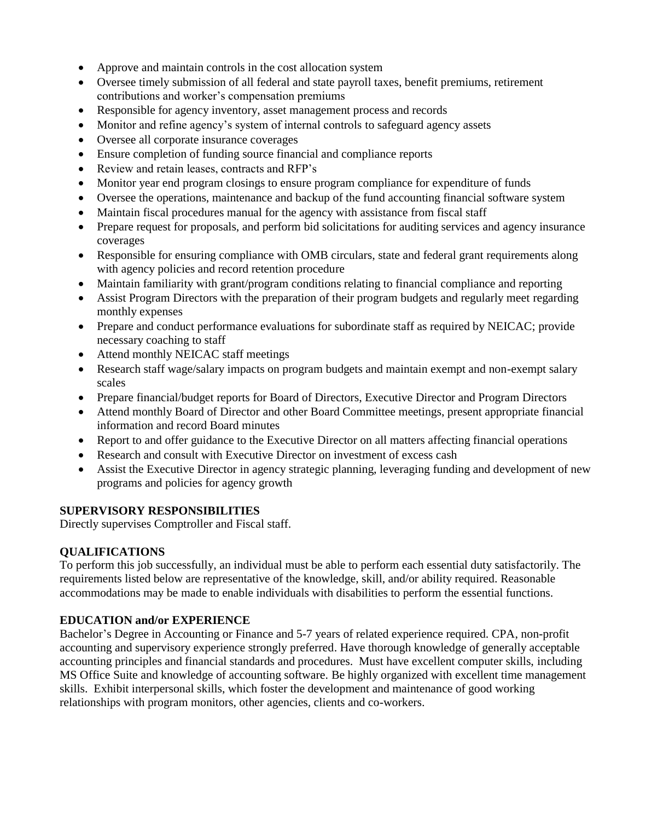- Approve and maintain controls in the cost allocation system
- Oversee timely submission of all federal and state payroll taxes, benefit premiums, retirement contributions and worker's compensation premiums
- Responsible for agency inventory, asset management process and records
- Monitor and refine agency's system of internal controls to safeguard agency assets
- Oversee all corporate insurance coverages
- Ensure completion of funding source financial and compliance reports
- Review and retain leases, contracts and RFP's
- Monitor year end program closings to ensure program compliance for expenditure of funds
- Oversee the operations, maintenance and backup of the fund accounting financial software system
- Maintain fiscal procedures manual for the agency with assistance from fiscal staff
- Prepare request for proposals, and perform bid solicitations for auditing services and agency insurance coverages
- Responsible for ensuring compliance with OMB circulars, state and federal grant requirements along with agency policies and record retention procedure
- Maintain familiarity with grant/program conditions relating to financial compliance and reporting
- Assist Program Directors with the preparation of their program budgets and regularly meet regarding monthly expenses
- Prepare and conduct performance evaluations for subordinate staff as required by NEICAC; provide necessary coaching to staff
- Attend monthly NEICAC staff meetings
- Research staff wage/salary impacts on program budgets and maintain exempt and non-exempt salary scales
- Prepare financial/budget reports for Board of Directors, Executive Director and Program Directors
- Attend monthly Board of Director and other Board Committee meetings, present appropriate financial information and record Board minutes
- Report to and offer guidance to the Executive Director on all matters affecting financial operations
- Research and consult with Executive Director on investment of excess cash
- Assist the Executive Director in agency strategic planning, leveraging funding and development of new programs and policies for agency growth

### **SUPERVISORY RESPONSIBILITIES**

Directly supervises Comptroller and Fiscal staff.

## **QUALIFICATIONS**

To perform this job successfully, an individual must be able to perform each essential duty satisfactorily. The requirements listed below are representative of the knowledge, skill, and/or ability required. Reasonable accommodations may be made to enable individuals with disabilities to perform the essential functions.

## **EDUCATION and/or EXPERIENCE**

Bachelor's Degree in Accounting or Finance and 5-7 years of related experience required. CPA, non-profit accounting and supervisory experience strongly preferred. Have thorough knowledge of generally acceptable accounting principles and financial standards and procedures. Must have excellent computer skills, including MS Office Suite and knowledge of accounting software. Be highly organized with excellent time management skills. Exhibit interpersonal skills, which foster the development and maintenance of good working relationships with program monitors, other agencies, clients and co-workers.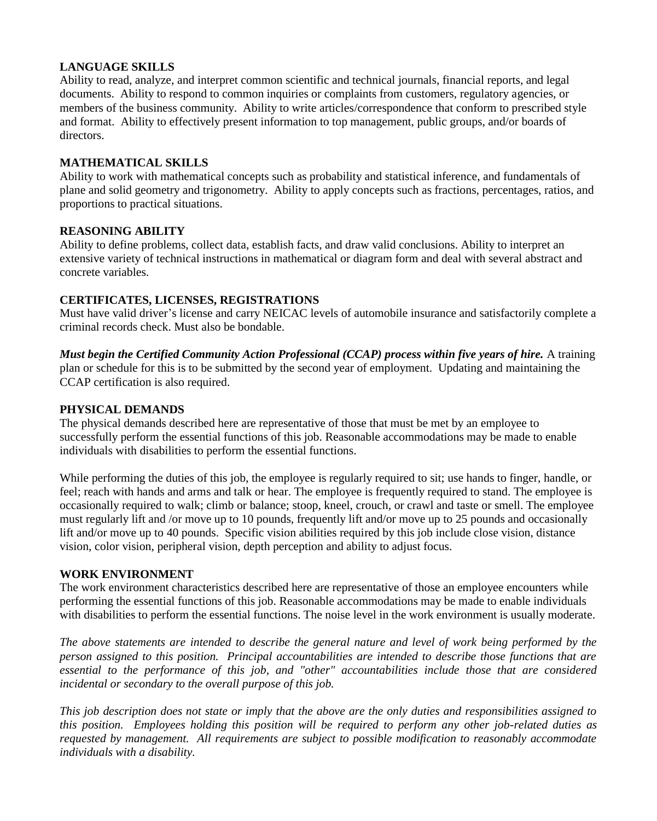## **LANGUAGE SKILLS**

Ability to read, analyze, and interpret common scientific and technical journals, financial reports, and legal documents. Ability to respond to common inquiries or complaints from customers, regulatory agencies, or members of the business community. Ability to write articles/correspondence that conform to prescribed style and format. Ability to effectively present information to top management, public groups, and/or boards of directors.

## **MATHEMATICAL SKILLS**

Ability to work with mathematical concepts such as probability and statistical inference, and fundamentals of plane and solid geometry and trigonometry. Ability to apply concepts such as fractions, percentages, ratios, and proportions to practical situations.

### **REASONING ABILITY**

Ability to define problems, collect data, establish facts, and draw valid conclusions. Ability to interpret an extensive variety of technical instructions in mathematical or diagram form and deal with several abstract and concrete variables.

### **CERTIFICATES, LICENSES, REGISTRATIONS**

Must have valid driver's license and carry NEICAC levels of automobile insurance and satisfactorily complete a criminal records check. Must also be bondable.

*Must begin the Certified Community Action Professional (CCAP) process within five years of hire.* A training plan or schedule for this is to be submitted by the second year of employment. Updating and maintaining the CCAP certification is also required.

#### **PHYSICAL DEMANDS**

The physical demands described here are representative of those that must be met by an employee to successfully perform the essential functions of this job. Reasonable accommodations may be made to enable individuals with disabilities to perform the essential functions.

While performing the duties of this job, the employee is regularly required to sit; use hands to finger, handle, or feel; reach with hands and arms and talk or hear. The employee is frequently required to stand. The employee is occasionally required to walk; climb or balance; stoop, kneel, crouch, or crawl and taste or smell. The employee must regularly lift and /or move up to 10 pounds, frequently lift and/or move up to 25 pounds and occasionally lift and/or move up to 40 pounds. Specific vision abilities required by this job include close vision, distance vision, color vision, peripheral vision, depth perception and ability to adjust focus.

### **WORK ENVIRONMENT**

The work environment characteristics described here are representative of those an employee encounters while performing the essential functions of this job. Reasonable accommodations may be made to enable individuals with disabilities to perform the essential functions. The noise level in the work environment is usually moderate.

*The above statements are intended to describe the general nature and level of work being performed by the person assigned to this position. Principal accountabilities are intended to describe those functions that are essential to the performance of this job, and "other" accountabilities include those that are considered incidental or secondary to the overall purpose of this job.*

*This job description does not state or imply that the above are the only duties and responsibilities assigned to this position. Employees holding this position will be required to perform any other job-related duties as requested by management. All requirements are subject to possible modification to reasonably accommodate individuals with a disability.*